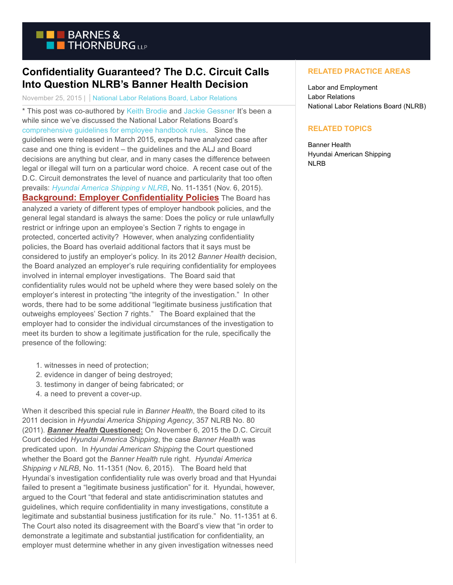

## **Confidentiality Guaranteed? The D.C. Circuit Calls Into Question NLRB's Banner Health Decision**

November 25, 2015 | National Labor Relations Board, Labor Relations

\* This post was co-authored by [Keith Brodie a](http://www.btlaw.com/keith-j-brodie/)nd [Jackie Gessner I](http://www.btlaw.com/Jackie-S-Gessner/)t's been a while since we've discussed the National Labor Relations Board's [comprehensive guidelines for employee handbook rules.](https://www.btlaborrelations.com/nlrb-general-counsel-issues-comprehensive-report-on-handbook-rules/) Since the guidelines were released in March 2015, experts have analyzed case after case and one thing is evident – the guidelines and the ALJ and Board decisions are anything but clear, and in many cases the difference between legal or illegal will turn on a particular word choice. A recent case out of the D.C. Circuit demonstrates the level of nuance and particularity that too often prevails: *[Hyundai America Shipping v NLRB](https://www.cadc.uscourts.gov/internet/opinions.nsf/E1C602693A9BE94385257EF50053A0D4/$file/11-1351.pdf)*, No. 11-1351 (Nov. 6, 2015). **Background: Employer Confidentiality Policies** The Board has analyzed a variety of different types of employer handbook policies, and the general legal standard is always the same: Does the policy or rule unlawfully restrict or infringe upon an employee's Section 7 rights to engage in protected, concerted activity? However, when analyzing confidentiality policies, the Board has overlaid additional factors that it says must be considered to justify an employer's policy. In its 2012 *Banner Health* decision, the Board analyzed an employer's rule requiring confidentiality for employees involved in internal employer investigations. The Board said that confidentiality rules would not be upheld where they were based solely on the employer's interest in protecting "the integrity of the investigation." In other words, there had to be some additional "legitimate business justification that outweighs employees' Section 7 rights." The Board explained that the employer had to consider the individual circumstances of the investigation to meet its burden to show a legitimate justification for the rule, specifically the presence of the following:

- 1. witnesses in need of protection;
- 2. evidence in danger of being destroyed;
- 3. testimony in danger of being fabricated; or
- 4. a need to prevent a cover-up.

When it described this special rule in *Banner Health*, the Board cited to its 2011 decision in *Hyundai America Shipping Agency*, 357 NLRB No. 80 (2011). *Banner Health* **Questioned:** On November 6, 2015 the D.C. Circuit Court decided *Hyundai America Shipping*, the case *Banner Health* was predicated upon.In *Hyundai American Shipping* the Court questioned whether the Board got the *Banner Health* rule right. *Hyundai America Shipping v NLRB*, No. 11-1351 (Nov. 6, 2015). The Board held that Hyundai's investigation confidentiality rule was overly broad and that Hyundai failed to present a "legitimate business justification" for it. Hyundai, however, argued to the Court "that federal and state antidiscrimination statutes and guidelines, which require confidentiality in many investigations, constitute a legitimate and substantial business justification for its rule." No. 11-1351 at 6. The Court also noted its disagreement with the Board's view that "in order to demonstrate a legitimate and substantial justification for confidentiality, an employer must determine whether in any given investigation witnesses need

## **RELATED PRACTICE AREAS**

Labor and Employment Labor Relations National Labor Relations Board (NLRB)

## **RELATED TOPICS**

Banner Health Hyundai American Shipping NLRB